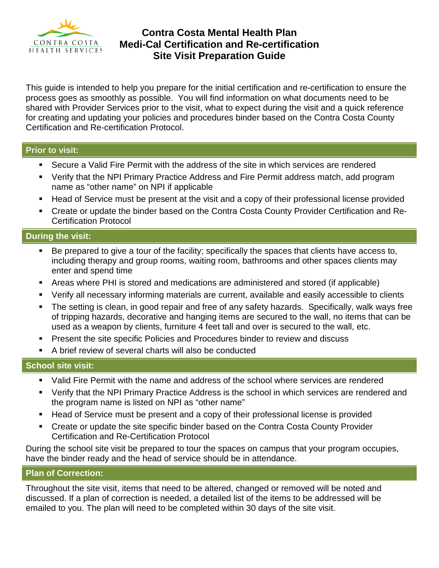

# **Contra Costa Mental Health Plan Medi-Cal Certification and Re-certification Site Visit Preparation Guide**

This guide is intended to help you prepare for the initial certification and re-certification to ensure the process goes as smoothly as possible. You will find information on what documents need to be shared with Provider Services prior to the visit, what to expect during the visit and a quick reference for creating and updating your policies and procedures binder based on the Contra Costa County Certification and Re-certification Protocol.

#### **Prior to visit:**

- Secure a Valid Fire Permit with the address of the site in which services are rendered
- Verify that the NPI Primary Practice Address and Fire Permit address match, add program name as "other name" on NPI if applicable
- Head of Service must be present at the visit and a copy of their professional license provided
- Create or update the binder based on the Contra Costa County Provider Certification and Re-Certification Protocol

## **During the visit:**

- Be prepared to give a tour of the facility; specifically the spaces that clients have access to, including therapy and group rooms, waiting room, bathrooms and other spaces clients may enter and spend time
- Areas where PHI is stored and medications are administered and stored (if applicable)
- Verify all necessary informing materials are current, available and easily accessible to clients
- The setting is clean, in good repair and free of any safety hazards. Specifically, walk ways free of tripping hazards, decorative and hanging items are secured to the wall, no items that can be used as a weapon by clients, furniture 4 feet tall and over is secured to the wall, etc.
- Present the site specific Policies and Procedures binder to review and discuss
- A brief review of several charts will also be conducted

## **School site visit:**

- Valid Fire Permit with the name and address of the school where services are rendered
- Verify that the NPI Primary Practice Address is the school in which services are rendered and the program name is listed on NPI as "other name"
- Head of Service must be present and a copy of their professional license is provided
- Create or update the site specific binder based on the Contra Costa County Provider Certification and Re-Certification Protocol

During the school site visit be prepared to tour the spaces on campus that your program occupies, have the binder ready and the head of service should be in attendance.

## **Plan of Correction:**

Throughout the site visit, items that need to be altered, changed or removed will be noted and discussed. If a plan of correction is needed, a detailed list of the items to be addressed will be emailed to you. The plan will need to be completed within 30 days of the site visit.